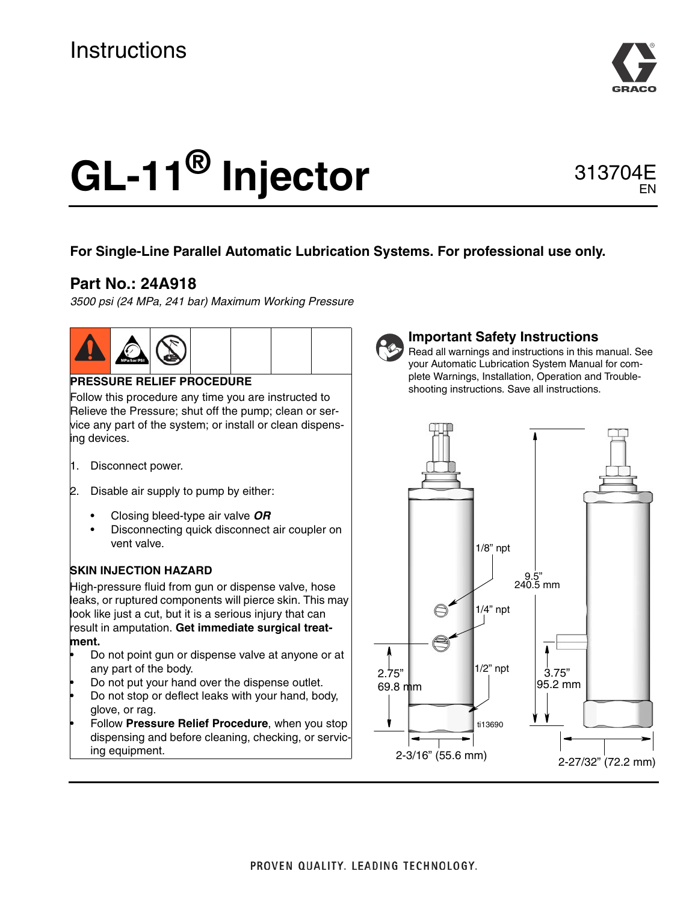

EN

# **GL-11® Injector** 313704E

### **For Single-Line Parallel Automatic Lubrication Systems. For professional use only.**

## **Part No.: 24A918**

*3500 psi (24 MPa, 241 bar) Maximum Working Pressure*



#### **PRESSURE RELIEF PROCEDURE**

Follow this procedure any time you are instructed to Relieve the Pressure; shut off the pump; clean or service any part of the system; or install or clean dispensing devices.

- 1. Disconnect power.
- 2. Disable air supply to pump by either:
	- Closing bleed-type air valve *OR*
	- Disconnecting quick disconnect air coupler on vent valve.

#### **SKIN INJECTION HAZARD**

High-pressure fluid from gun or dispense valve, hose leaks, or ruptured components will pierce skin. This may look like just a cut, but it is a serious injury that can result in amputation. **Get immediate surgical treatment.**

- Do not point gun or dispense valve at anyone or at any part of the body.
- Do not put your hand over the dispense outlet.
- Do not stop or deflect leaks with your hand, body, glove, or rag.
- Follow **Pressure Relief Procedure**, when you stop dispensing and before cleaning, checking, or servicing equipment.



#### **Important Safety Instructions**

Read all warnings and instructions in this manual. See your Automatic Lubrication System Manual for complete Warnings, Installation, Operation and Troubleshooting instructions. Save all instructions.